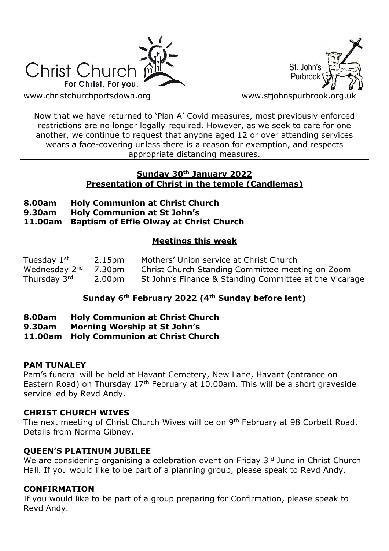



[www.christchurchportsdown.org](http://www.christchurchportsdown.org/) www.stjohnspurbrook.org

Now that we have returned to 'Plan A' Covid measures, most previously enforced restrictions are no longer legally required. However, as we seek to care for one another, we continue to request that anyone aged 12 or over attending services wears a face-covering unless there is a reason for exemption, and respects appropriate distancing measures.

#### **Sunday 30th January 2022 Presentation of Christ in the temple (Candlemas)**

- **8.00am Holy Communion at Christ Church**
- **9.30am Holy Communion at St John's**

**11.00am Baptism of Effie Olway at Christ Church**

## **Meetings this week**

| Tuesday 1st               | 2.15pm             | Mothers' Union service at Christ Church                |
|---------------------------|--------------------|--------------------------------------------------------|
| Wednesday 2 <sup>nd</sup> | 7.30pm             | Christ Church Standing Committee meeting on Zoom       |
| Thursday 3rd              | 2.00 <sub>pm</sub> | St John's Finance & Standing Committee at the Vicarage |

### **Sunday 6th February 2022 (4th Sunday before lent)**

- **8.00am Holy Communion at Christ Church**
- **9.30am Morning Worship at St John's**
- **11.00am Holy Communion at Christ Church**

#### **PAM TUNALEY**

Pam's funeral will be held at Havant Cemetery, New Lane, Havant (entrance on Eastern Road) on Thursday  $17<sup>th</sup>$  February at 10.00am. This will be a short graveside service led by Revd Andy.

### **CHRIST CHURCH WIVES**

The next meeting of Christ Church Wives will be on 9<sup>th</sup> February at 98 Corbett Road. Details from Norma Gibney.

### **QUEEN'S PLATINUM JUBILEE**

We are considering organising a celebration event on Friday 3<sup>rd</sup> June in Christ Church Hall. If you would like to be part of a planning group, please speak to Revd Andy.

### **CONFIRMATION**

If you would like to be part of a group preparing for Confirmation, please speak to Revd Andy.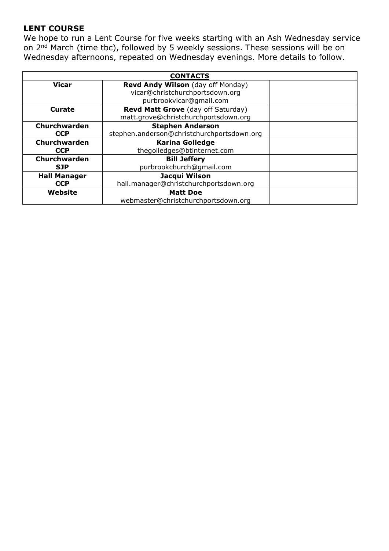### **LENT COURSE**

We hope to run a Lent Course for five weeks starting with an Ash Wednesday service on 2<sup>nd</sup> March (time tbc), followed by 5 weekly sessions. These sessions will be on Wednesday afternoons, repeated on Wednesday evenings. More details to follow.

| <b>CONTACTS</b>     |                                            |  |  |
|---------------------|--------------------------------------------|--|--|
| <b>Vicar</b>        | Revd Andy Wilson (day off Monday)          |  |  |
|                     | vicar@christchurchportsdown.org            |  |  |
|                     | purbrookvicar@gmail.com                    |  |  |
| <b>Curate</b>       | Revd Matt Grove (day off Saturday)         |  |  |
|                     | matt.grove@christchurchportsdown.org       |  |  |
| Churchwarden        | <b>Stephen Anderson</b>                    |  |  |
| <b>CCP</b>          | stephen.anderson@christchurchportsdown.org |  |  |
| Churchwarden        | <b>Karina Golledge</b>                     |  |  |
| <b>CCP</b>          | thegolledges@btinternet.com                |  |  |
| Churchwarden        | <b>Bill Jeffery</b>                        |  |  |
| <b>SJP</b>          | purbrookchurch@gmail.com                   |  |  |
| <b>Hall Manager</b> | Jacqui Wilson                              |  |  |
| <b>CCP</b>          | hall.manager@christchurchportsdown.org     |  |  |
| <b>Website</b>      | <b>Matt Doe</b>                            |  |  |
|                     | webmaster@christchurchportsdown.org        |  |  |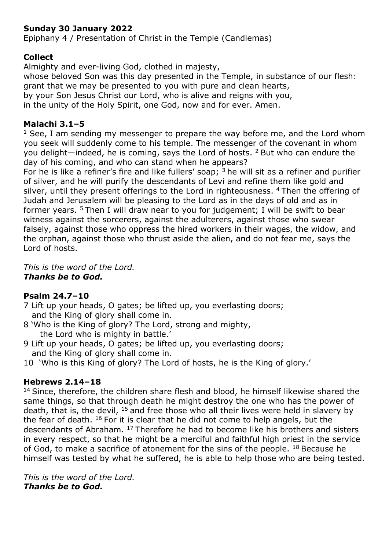## **Sunday 30 January 2022**

Epiphany 4 / Presentation of Christ in the Temple (Candlemas)

## **Collect**

Almighty and ever-living God, clothed in majesty, whose beloved Son was this day presented in the Temple, in substance of our flesh: grant that we may be presented to you with pure and clean hearts, by your Son Jesus Christ our Lord, who is alive and reigns with you, in the unity of the Holy Spirit, one God, now and for ever. Amen.

### **Malachi 3.1–5**

 $1$  See, I am sending my messenger to prepare the way before me, and the Lord whom you seek will suddenly come to his temple. The messenger of the covenant in whom you delight—indeed, he is coming, says the Lord of hosts.  $2$  But who can endure the day of his coming, and who can stand when he appears?

For he is like a refiner's fire and like fullers' soap;  $3$  he will sit as a refiner and purifier of silver, and he will purify the descendants of Levi and refine them like gold and silver, until they present offerings to the Lord in righteousness. <sup>4</sup> Then the offering of Judah and Jerusalem will be pleasing to the Lord as in the days of old and as in former years. <sup>5</sup>Then I will draw near to you for judgement; I will be swift to bear witness against the sorcerers, against the adulterers, against those who swear falsely, against those who oppress the hired workers in their wages, the widow, and the orphan, against those who thrust aside the alien, and do not fear me, says the Lord of hosts.

*This is the word of the Lord. Thanks be to God.*

### **Psalm 24.7–10**

- 7 Lift up your heads, O gates; be lifted up, you everlasting doors; and the King of glory shall come in.
- 8 'Who is the King of glory? The Lord, strong and mighty, the Lord who is mighty in battle.'
- 9 Lift up your heads, O gates; be lifted up, you everlasting doors; and the King of glory shall come in.

10 'Who is this King of glory? The Lord of hosts, he is the King of glory.'

### **Hebrews 2.14–18**

<sup>14</sup> Since, therefore, the children share flesh and blood, he himself likewise shared the same things, so that through death he might destroy the one who has the power of death, that is, the devil,  $15$  and free those who all their lives were held in slavery by the fear of death.  $16$  For it is clear that he did not come to help angels, but the descendants of Abraham.  $17$  Therefore he had to become like his brothers and sisters in every respect, so that he might be a merciful and faithful high priest in the service of God, to make a sacrifice of atonement for the sins of the people.  $^{18}$  Because he himself was tested by what he suffered, he is able to help those who are being tested.

*This is the word of the Lord. Thanks be to God.*